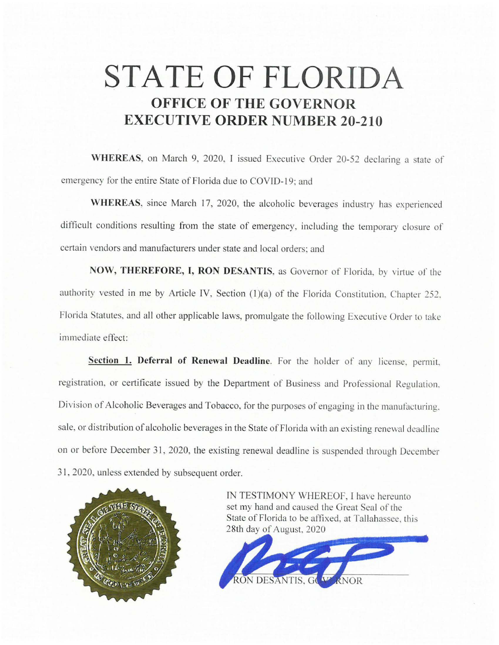## **STATE OF FLORIDA OFFICE OF THE GOVERNOR EXECUTIVE ORDER NUMBER 20-210**

**WHEREAS,** on March 9, 2020, I issued Executive Order 20-52 declaring a state of emergency for the entire State of Florida due to COVID-19; and

**WHEREAS,** since March 17, 2020, the alcoholic beverages industry has experienced difficult conditions resulting from the state of emergency. including the temporary closure of certain vendors and manufacturers under state and local orders: and

NOW, THEREFORE, I, RON DESANTIS, as Governor of Florida, by virtue of the authority vested in me by Article IV, Section (1)(a) of the Florida Constitution. Chapter 252. Florida Statutes, and all other applicable laws, promulgate the following Executive Order to take immediate effect:

**Section 1. Deferral of Renewal Deadline.** For the holder of any license. permit, registration, or certificate issued by the Department of Business and Professional Regulation. Division of Alcoholic Beverages and Tobacco, for the purposes of engaging in the manufacturing. sale, or distribution of alcoholic beverages in the State of Florida with an existing renewal deadline on or before December 31, 2020, the existing renewal deadline is suspended through December 31. 2020, unless extended by subsequent order.



IN TESTIMONY WHEREOF, I have hereunto set my hand and caused the Great Seal of the State of Florida to be affixed. at Tallahassee, this 28th day of August. 2020